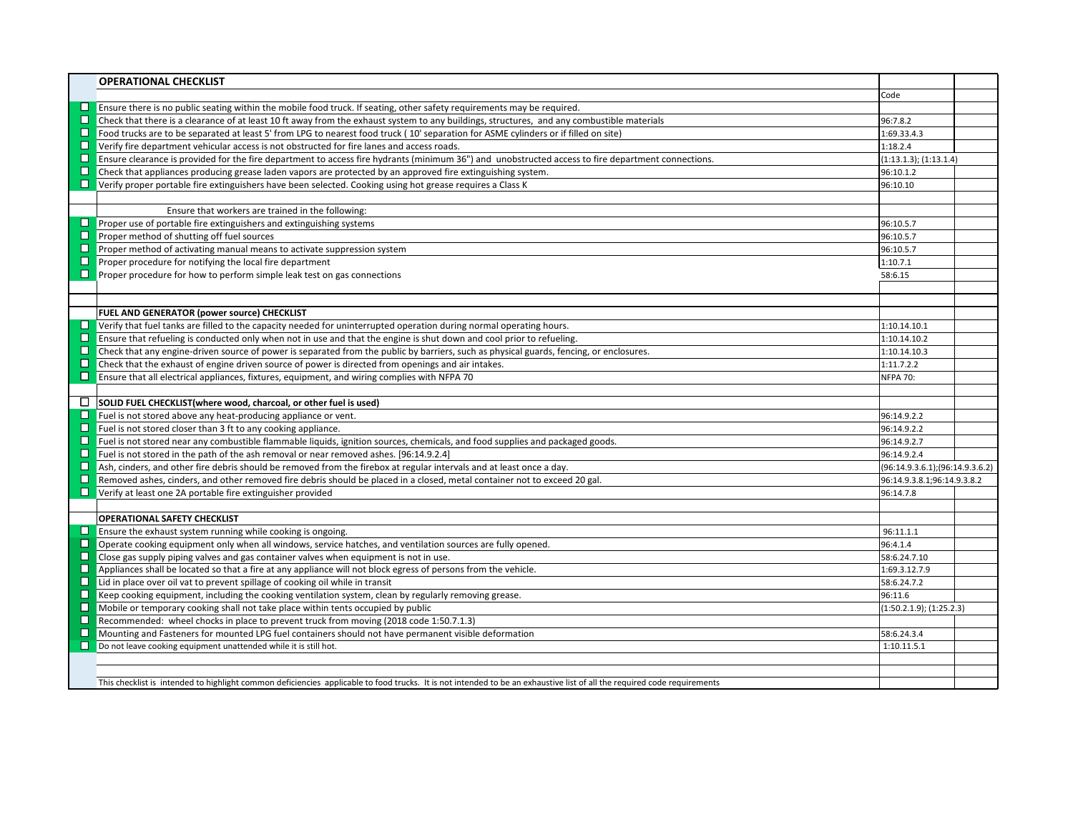|        | <b>OPERATIONAL CHECKLIST</b>                                                                                                                                             |                                       |  |
|--------|--------------------------------------------------------------------------------------------------------------------------------------------------------------------------|---------------------------------------|--|
|        |                                                                                                                                                                          | Code                                  |  |
|        | $\Box$ Ensure there is no public seating within the mobile food truck. If seating, other safety requirements may be required.                                            |                                       |  |
|        | $\Box$ Check that there is a clearance of at least 10 ft away from the exhaust system to any buildings, structures, and any combustible materials                        | 96:7.8.2                              |  |
| ◘      | Food trucks are to be separated at least 5' from LPG to nearest food truck (10' separation for ASME cylinders or if filled on site)                                      | 1:69.33.4.3                           |  |
| ◻      | Verify fire department vehicular access is not obstructed for fire lanes and access roads.                                                                               | 1:18.2.4                              |  |
| ◻      | Ensure clearance is provided for the fire department to access fire hydrants (minimum 36") and unobstructed access to fire department connections.                       | (1:13.1.3); (1:13.1.4)                |  |
| ◻      | Check that appliances producing grease laden vapors are protected by an approved fire extinguishing system.                                                              | 96:10.1.2                             |  |
|        | <b>D</b> Verify proper portable fire extinguishers have been selected. Cooking using hot grease requires a Class K                                                       | 96:10.10                              |  |
|        |                                                                                                                                                                          |                                       |  |
|        | Ensure that workers are trained in the following:                                                                                                                        |                                       |  |
|        | $\Box$ Proper use of portable fire extinguishers and extinguishing systems                                                                                               | 96:10.5.7                             |  |
| ◻      | Proper method of shutting off fuel sources                                                                                                                               | 96:10.5.7                             |  |
| □      | Proper method of activating manual means to activate suppression system                                                                                                  | 96:10.5.7                             |  |
| $\Box$ | Proper procedure for notifying the local fire department                                                                                                                 | 1:10.7.1                              |  |
|        | $\Box$ Proper procedure for how to perform simple leak test on gas connections                                                                                           | 58:6.15                               |  |
|        |                                                                                                                                                                          |                                       |  |
|        |                                                                                                                                                                          |                                       |  |
|        | FUEL AND GENERATOR (power source) CHECKLIST                                                                                                                              |                                       |  |
|        | $\Box$ Verify that fuel tanks are filled to the capacity needed for uninterrupted operation during normal operating hours.                                               | 1:10.14.10.1                          |  |
| ◘      | Ensure that refueling is conducted only when not in use and that the engine is shut down and cool prior to refueling.                                                    | 1:10.14.10.2                          |  |
| $\Box$ | Check that any engine-driven source of power is separated from the public by barriers, such as physical guards, fencing, or enclosures.                                  | 1:10.14.10.3                          |  |
| ◻      | Check that the exhaust of engine driven source of power is directed from openings and air intakes.                                                                       | 1:11.7.2.2                            |  |
|        | Ensure that all electrical appliances, fixtures, equipment, and wiring complies with NFPA 70                                                                             | <b>NFPA 70:</b>                       |  |
|        |                                                                                                                                                                          |                                       |  |
|        | $\Box$ SOLID FUEL CHECKLIST (where wood, charcoal, or other fuel is used)                                                                                                |                                       |  |
|        | $\Box$ Fuel is not stored above any heat-producing appliance or vent.                                                                                                    | 96:14.9.2.2                           |  |
|        | $\Box$ Fuel is not stored closer than 3 ft to any cooking appliance.                                                                                                     | 96:14.9.2.2                           |  |
|        | $\Box$ Fuel is not stored near any combustible flammable liquids, ignition sources, chemicals, and food supplies and packaged goods.                                     | 96:14.9.2.7                           |  |
| □      | Fuel is not stored in the path of the ash removal or near removed ashes. [96:14.9.2.4]                                                                                   | 96:14.9.2.4                           |  |
| ◨      | Ash, cinders, and other fire debris should be removed from the firebox at regular intervals and at least once a day.                                                     | $(96:14.9.3.6.1)$ ; $(96:14.9.3.6.2)$ |  |
| ◻      | Removed ashes, cinders, and other removed fire debris should be placed in a closed, metal container not to exceed 20 gal.                                                | 96:14.9.3.8.1;96:14.9.3.8.2           |  |
|        | $\Box$ Verify at least one 2A portable fire extinguisher provided                                                                                                        | 96:14.7.8                             |  |
|        |                                                                                                                                                                          |                                       |  |
|        | <b>OPERATIONAL SAFETY CHECKLIST</b>                                                                                                                                      |                                       |  |
| ◻      | $\Box$ Ensure the exhaust system running while cooking is ongoing.                                                                                                       | 96:11.1.1                             |  |
| □      | Operate cooking equipment only when all windows, service hatches, and ventilation sources are fully opened.                                                              | 96:4.1.4                              |  |
|        | Close gas supply piping valves and gas container valves when equipment is not in use.                                                                                    | 58:6.24.7.10                          |  |
| □<br>□ | Appliances shall be located so that a fire at any appliance will not block egress of persons from the vehicle.                                                           | 1:69.3.12.7.9                         |  |
| □      | Lid in place over oil vat to prevent spillage of cooking oil while in transit                                                                                            | 58:6.24.7.2                           |  |
| □      | Keep cooking equipment, including the cooking ventilation system, clean by regularly removing grease.                                                                    | 96:11.6                               |  |
|        | Mobile or temporary cooking shall not take place within tents occupied by public                                                                                         | (1:50.2.1.9); (1:25.2.3)              |  |
| □      | Recommended: wheel chocks in place to prevent truck from moving (2018 code 1:50.7.1.3)                                                                                   |                                       |  |
| $\Box$ | Mounting and Fasteners for mounted LPG fuel containers should not have permanent visible deformation                                                                     | 58:6.24.3.4                           |  |
|        | Do not leave cooking equipment unattended while it is still hot.                                                                                                         | 1:10.11.5.1                           |  |
|        |                                                                                                                                                                          |                                       |  |
|        | This checklist is intended to highlight common deficiencies applicable to food trucks. It is not intended to be an exhaustive list of all the required code requirements |                                       |  |
|        |                                                                                                                                                                          |                                       |  |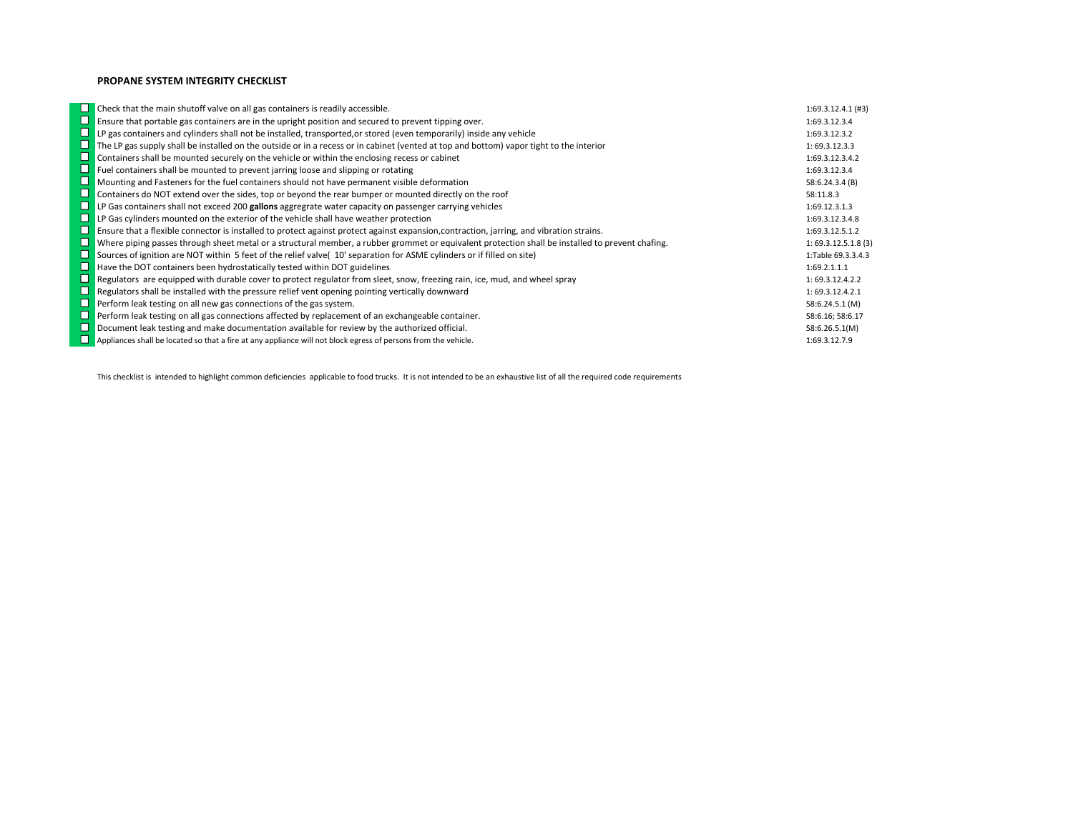## **PROPANE SYSTEM INTEGRITY CHECKLIST**

|        | $\Box$ Check that the main shutoff valve on all gas containers is readily accessible.                                                              | $1:69.3.12.4.1$ (#3) |
|--------|----------------------------------------------------------------------------------------------------------------------------------------------------|----------------------|
| □      | Ensure that portable gas containers are in the upright position and secured to prevent tipping over.                                               | 1:69.3.12.3.4        |
|        | <b>D</b> LP gas containers and cylinders shall not be installed, transported, or stored (even temporarily) inside any vehicle                      | 1:69.3.12.3.2        |
|        | $\Box$ The LP gas supply shall be installed on the outside or in a recess or in cabinet (vented at top and bottom) vapor tight to the interior     | 1:69.3.12.3.3        |
|        | $\Box$ Containers shall be mounted securely on the vehicle or within the enclosing recess or cabinet                                               | 1:69.3.12.3.4.2      |
| u      | <b>Fuel containers shall be mounted to prevent jarring loose and slipping or rotating</b>                                                          | 1:69.3.12.3.4        |
|        | $\Box$ Mounting and Fasteners for the fuel containers should not have permanent visible deformation                                                | 58:6.24.3.4 (B)      |
| $\Box$ | Containers do NOT extend over the sides, top or beyond the rear bumper or mounted directly on the roof                                             | 58:11.8.3            |
| $\Box$ | LP Gas containers shall not exceed 200 gallons aggregrate water capacity on passenger carrying vehicles                                            | 1:69.12.3.1.3        |
|        | $\Box$ LP Gas cylinders mounted on the exterior of the vehicle shall have weather protection                                                       | 1:69.3.12.3.4.8      |
|        | <b>D</b> Ensure that a flexible connector is installed to protect against protect against expansion, contraction, jarring, and vibration strains.  | 1:69.3.12.5.1.2      |
|        | □ Where piping passes through sheet metal or a structural member, a rubber grommet or equivalent protection shall be installed to prevent chafing. | 1:69.3.12.5.1.8(3)   |
|        | Sources of ignition are NOT within 5 feet of the relief valve( 10' separation for ASME cylinders or if filled on site)                             | 1:Table 69.3.3.4.3   |
|        | $\Box$ Have the DOT containers been hydrostatically tested within DOT guidelines                                                                   | 1:69.2.1.1.1         |
|        | <b>D</b> Regulators are equipped with durable cover to protect regulator from sleet, snow, freezing rain, ice, mud, and wheel spray                | 1:69.3.12.4.2.2      |
|        | $\Box$ Regulators shall be installed with the pressure relief vent opening pointing vertically downward                                            | 1:69.3.12.4.2.1      |
|        | $\Box$ Perform leak testing on all new gas connections of the gas system.                                                                          | 58:6.24.5.1 (M)      |
|        | □ Perform leak testing on all gas connections affected by replacement of an exchangeable container.                                                | 58:6.16; 58:6.17     |
|        | $\Box$ Document leak testing and make documentation available for review by the authorized official.                                               | 58:6.26.5.1(M)       |
|        | $\Box$ Appliances shall be located so that a fire at any appliance will not block egress of persons from the vehicle.                              | 1:69.3.12.7.9        |

This checklist is intended to highlight common deficiencies applicable to food trucks. It is not intended to be an exhaustive list of all the required code requirements